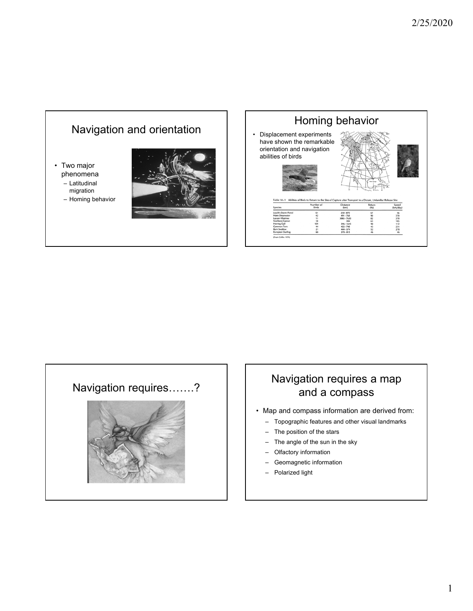



# and a compass

- Map and compass information are derived from:
	- Topographic features and other visual landmarks
	- The position of the stars
	- The angle of the sun in the sky
	- Olfactory information
	- Geomagnetic information
	- Polarized light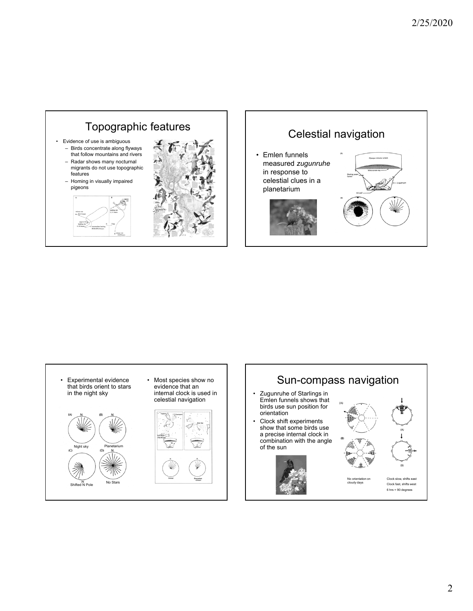





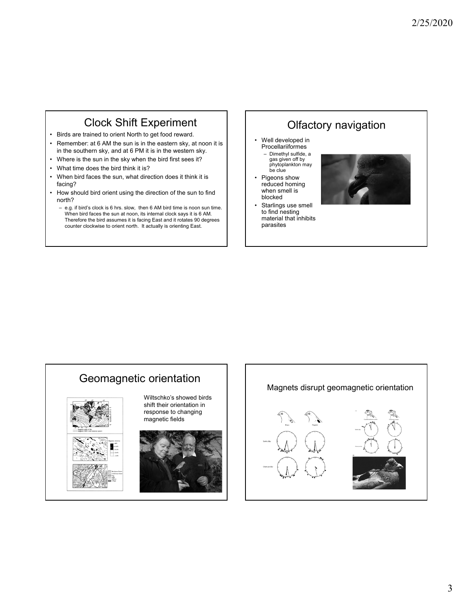## Clock Shift Experiment

- Birds are trained to orient North to get food reward.
- Remember: at 6 AM the sun is in the eastern sky, at noon it is in the southern sky, and at 6 PM it is in the western sky.
- Where is the sun in the sky when the bird first sees it?
- What time does the bird think it is?
- When bird faces the sun, what direction does it think it is facing?
- How should bird orient using the direction of the sun to find north?
	- e.g. if bird's clock is 6 hrs. slow, then 6 AM bird time is noon sun time. When bird faces the sun at noon, its internal clock says it is 6 AM. Therefore the bird assumes it is facing East and it rotates 90 degrees counter clockwise to orient north. It actually is orienting East.

## Olfactory navigation

- Well developed in **Procellariiformes** – Dimethyl sulfide, a gas given off by
	- phytoplankton may be clue
- Pigeons show reduced homing when smell is blocked
- Starlings use smell to find nesting material that inhibits parasites



## Geomagnetic orientation



Wiltschko's showed birds shift their orientation in response to changing magnetic fields



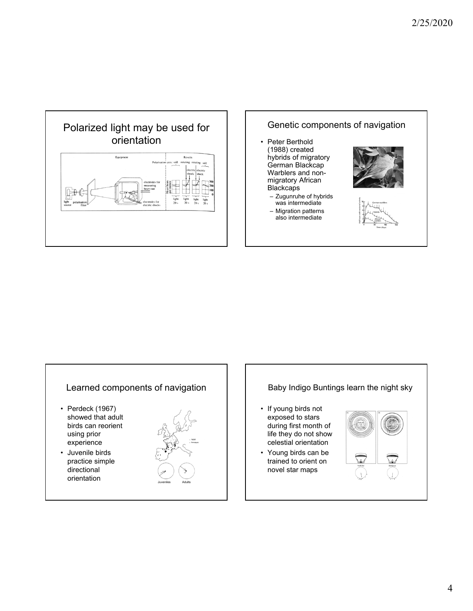





#### 4